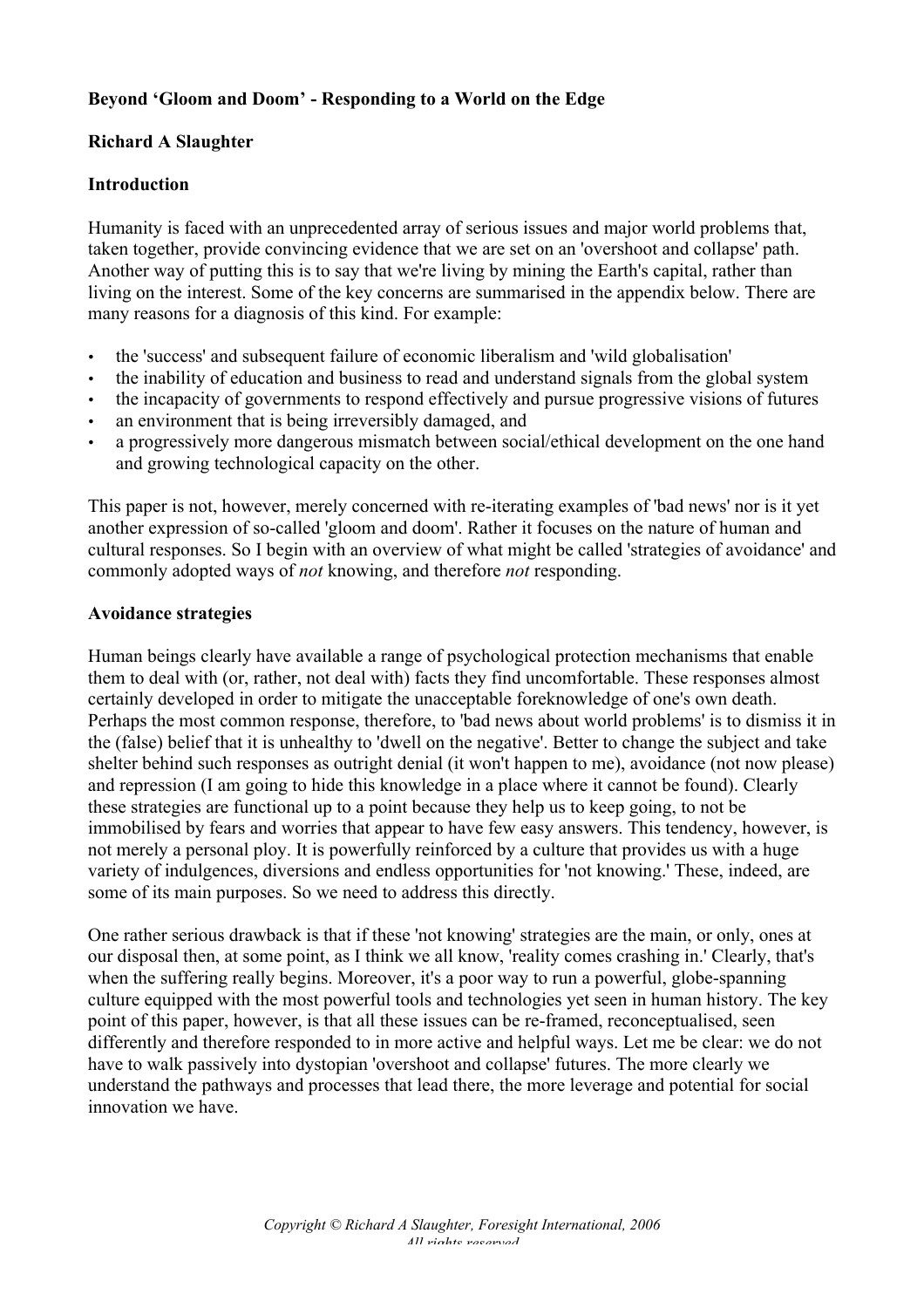# **Beyond 'Gloom and Doom' - Responding to a World on the Edge**

### **Richard A Slaughter**

#### **Introduction**

Humanity is faced with an unprecedented array of serious issues and major world problems that, taken together, provide convincing evidence that we are set on an 'overshoot and collapse' path. Another way of putting this is to say that we're living by mining the Earth's capital, rather than living on the interest. Some of the key concerns are summarised in the appendix below. There are many reasons for a diagnosis of this kind. For example:

- the 'success' and subsequent failure of economic liberalism and 'wild globalisation'
- the inability of education and business to read and understand signals from the global system
- the incapacity of governments to respond effectively and pursue progressive visions of futures
- an environment that is being irreversibly damaged, and
- a progressively more dangerous mismatch between social/ethical development on the one hand and growing technological capacity on the other.

This paper is not, however, merely concerned with re-iterating examples of 'bad news' nor is it yet another expression of so-called 'gloom and doom'. Rather it focuses on the nature of human and cultural responses. So I begin with an overview of what might be called 'strategies of avoidance' and commonly adopted ways of *not* knowing, and therefore *not* responding.

#### **Avoidance strategies**

Human beings clearly have available a range of psychological protection mechanisms that enable them to deal with (or, rather, not deal with) facts they find uncomfortable. These responses almost certainly developed in order to mitigate the unacceptable foreknowledge of one's own death. Perhaps the most common response, therefore, to 'bad news about world problems' is to dismiss it in the (false) belief that it is unhealthy to 'dwell on the negative'. Better to change the subject and take shelter behind such responses as outright denial (it won't happen to me), avoidance (not now please) and repression (I am going to hide this knowledge in a place where it cannot be found). Clearly these strategies are functional up to a point because they help us to keep going, to not be immobilised by fears and worries that appear to have few easy answers. This tendency, however, is not merely a personal ploy. It is powerfully reinforced by a culture that provides us with a huge variety of indulgences, diversions and endless opportunities for 'not knowing.' These, indeed, are some of its main purposes. So we need to address this directly.

One rather serious drawback is that if these 'not knowing' strategies are the main, or only, ones at our disposal then, at some point, as I think we all know, 'reality comes crashing in.' Clearly, that's when the suffering really begins. Moreover, it's a poor way to run a powerful, globe-spanning culture equipped with the most powerful tools and technologies yet seen in human history. The key point of this paper, however, is that all these issues can be re-framed, reconceptualised, seen differently and therefore responded to in more active and helpful ways. Let me be clear: we do not have to walk passively into dystopian 'overshoot and collapse' futures. The more clearly we understand the pathways and processes that lead there, the more leverage and potential for social innovation we have.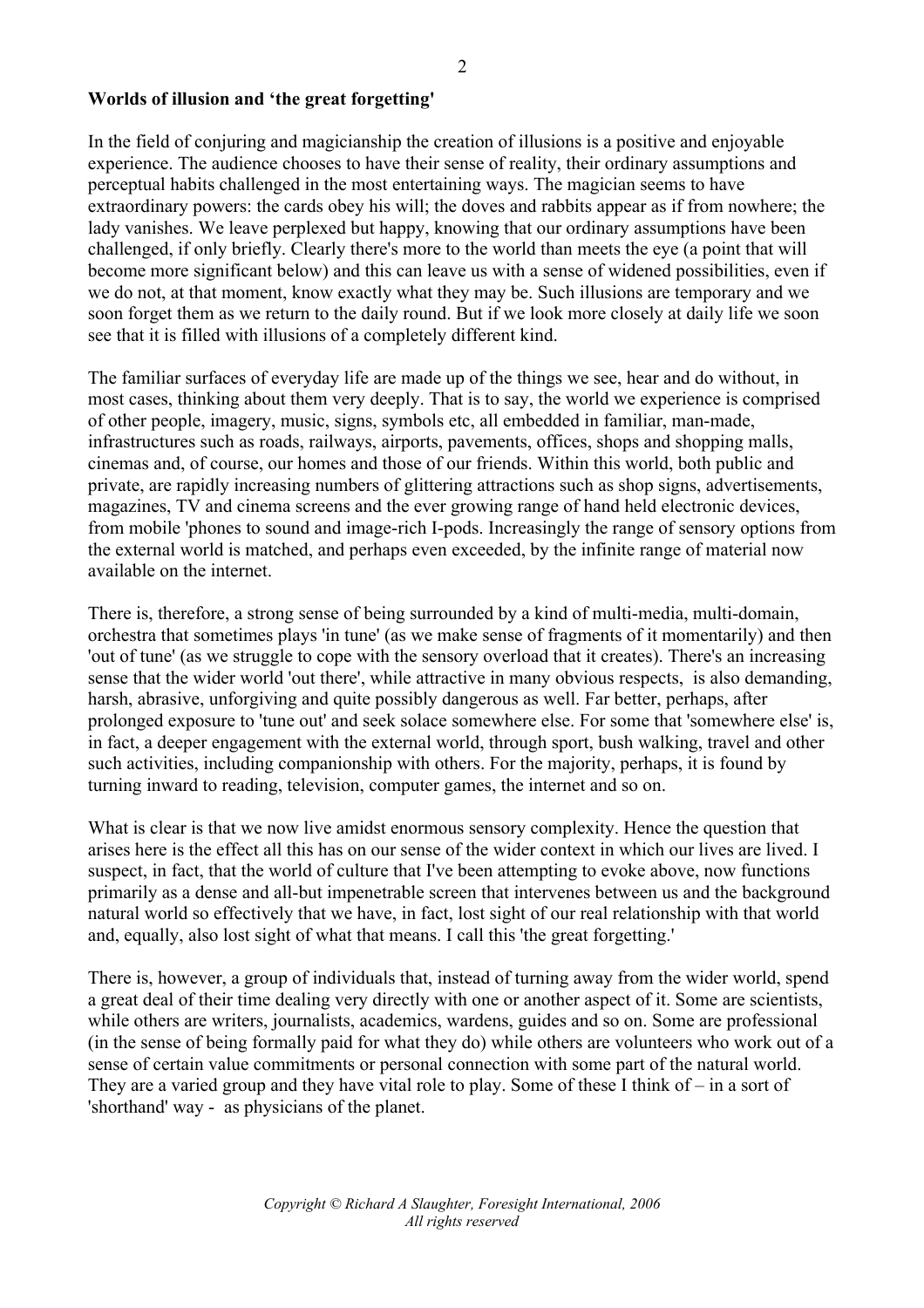# **Worlds of illusion and 'the great forgetting'**

In the field of conjuring and magicianship the creation of illusions is a positive and enjoyable experience. The audience chooses to have their sense of reality, their ordinary assumptions and perceptual habits challenged in the most entertaining ways. The magician seems to have extraordinary powers: the cards obey his will; the doves and rabbits appear as if from nowhere; the lady vanishes. We leave perplexed but happy, knowing that our ordinary assumptions have been challenged, if only briefly. Clearly there's more to the world than meets the eye (a point that will become more significant below) and this can leave us with a sense of widened possibilities, even if we do not, at that moment, know exactly what they may be. Such illusions are temporary and we soon forget them as we return to the daily round. But if we look more closely at daily life we soon see that it is filled with illusions of a completely different kind.

The familiar surfaces of everyday life are made up of the things we see, hear and do without, in most cases, thinking about them very deeply. That is to say, the world we experience is comprised of other people, imagery, music, signs, symbols etc, all embedded in familiar, man-made, infrastructures such as roads, railways, airports, pavements, offices, shops and shopping malls, cinemas and, of course, our homes and those of our friends. Within this world, both public and private, are rapidly increasing numbers of glittering attractions such as shop signs, advertisements, magazines, TV and cinema screens and the ever growing range of hand held electronic devices, from mobile 'phones to sound and image-rich I-pods. Increasingly the range of sensory options from the external world is matched, and perhaps even exceeded, by the infinite range of material now available on the internet.

There is, therefore, a strong sense of being surrounded by a kind of multi-media, multi-domain, orchestra that sometimes plays 'in tune' (as we make sense of fragments of it momentarily) and then 'out of tune' (as we struggle to cope with the sensory overload that it creates). There's an increasing sense that the wider world 'out there', while attractive in many obvious respects, is also demanding, harsh, abrasive, unforgiving and quite possibly dangerous as well. Far better, perhaps, after prolonged exposure to 'tune out' and seek solace somewhere else. For some that 'somewhere else' is, in fact, a deeper engagement with the external world, through sport, bush walking, travel and other such activities, including companionship with others. For the majority, perhaps, it is found by turning inward to reading, television, computer games, the internet and so on.

What is clear is that we now live amidst enormous sensory complexity. Hence the question that arises here is the effect all this has on our sense of the wider context in which our lives are lived. I suspect, in fact, that the world of culture that I've been attempting to evoke above, now functions primarily as a dense and all-but impenetrable screen that intervenes between us and the background natural world so effectively that we have, in fact, lost sight of our real relationship with that world and, equally, also lost sight of what that means. I call this 'the great forgetting.'

There is, however, a group of individuals that, instead of turning away from the wider world, spend a great deal of their time dealing very directly with one or another aspect of it. Some are scientists, while others are writers, journalists, academics, wardens, guides and so on. Some are professional (in the sense of being formally paid for what they do) while others are volunteers who work out of a sense of certain value commitments or personal connection with some part of the natural world. They are a varied group and they have vital role to play. Some of these I think of – in a sort of 'shorthand' way - as physicians of the planet.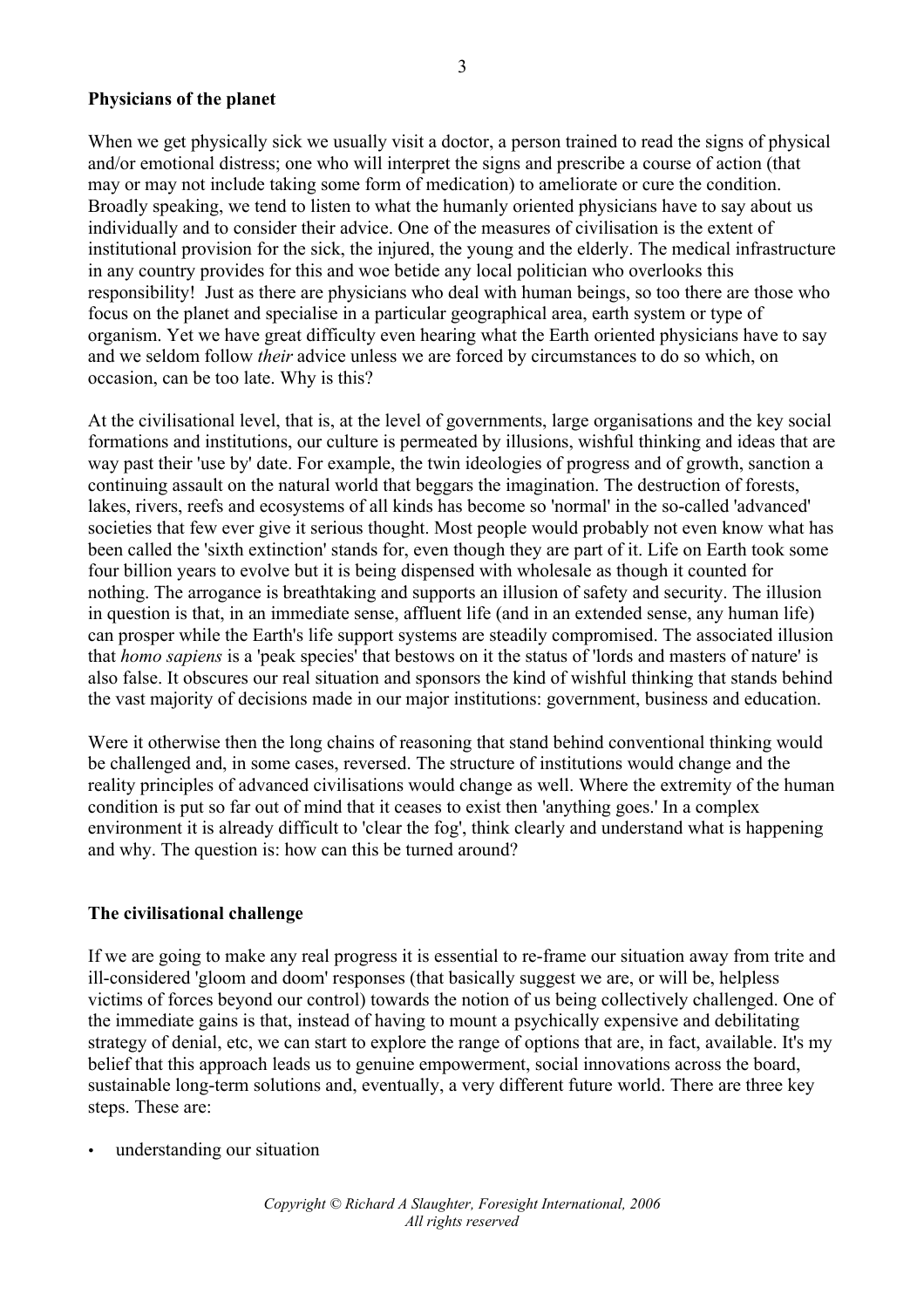#### **Physicians of the planet**

When we get physically sick we usually visit a doctor, a person trained to read the signs of physical and/or emotional distress; one who will interpret the signs and prescribe a course of action (that may or may not include taking some form of medication) to ameliorate or cure the condition. Broadly speaking, we tend to listen to what the humanly oriented physicians have to say about us individually and to consider their advice. One of the measures of civilisation is the extent of institutional provision for the sick, the injured, the young and the elderly. The medical infrastructure in any country provides for this and woe betide any local politician who overlooks this responsibility! Just as there are physicians who deal with human beings, so too there are those who focus on the planet and specialise in a particular geographical area, earth system or type of organism. Yet we have great difficulty even hearing what the Earth oriented physicians have to say and we seldom follow *their* advice unless we are forced by circumstances to do so which, on occasion, can be too late. Why is this?

At the civilisational level, that is, at the level of governments, large organisations and the key social formations and institutions, our culture is permeated by illusions, wishful thinking and ideas that are way past their 'use by' date. For example, the twin ideologies of progress and of growth, sanction a continuing assault on the natural world that beggars the imagination. The destruction of forests, lakes, rivers, reefs and ecosystems of all kinds has become so 'normal' in the so-called 'advanced' societies that few ever give it serious thought. Most people would probably not even know what has been called the 'sixth extinction' stands for, even though they are part of it. Life on Earth took some four billion years to evolve but it is being dispensed with wholesale as though it counted for nothing. The arrogance is breathtaking and supports an illusion of safety and security. The illusion in question is that, in an immediate sense, affluent life (and in an extended sense, any human life) can prosper while the Earth's life support systems are steadily compromised. The associated illusion that *homo sapiens* is a 'peak species' that bestows on it the status of 'lords and masters of nature' is also false. It obscures our real situation and sponsors the kind of wishful thinking that stands behind the vast majority of decisions made in our major institutions: government, business and education.

Were it otherwise then the long chains of reasoning that stand behind conventional thinking would be challenged and, in some cases, reversed. The structure of institutions would change and the reality principles of advanced civilisations would change as well. Where the extremity of the human condition is put so far out of mind that it ceases to exist then 'anything goes.' In a complex environment it is already difficult to 'clear the fog', think clearly and understand what is happening and why. The question is: how can this be turned around?

#### **The civilisational challenge**

If we are going to make any real progress it is essential to re-frame our situation away from trite and ill-considered 'gloom and doom' responses (that basically suggest we are, or will be, helpless victims of forces beyond our control) towards the notion of us being collectively challenged. One of the immediate gains is that, instead of having to mount a psychically expensive and debilitating strategy of denial, etc, we can start to explore the range of options that are, in fact, available. It's my belief that this approach leads us to genuine empowerment, social innovations across the board, sustainable long-term solutions and, eventually, a very different future world. There are three key steps. These are:

• understanding our situation

*Copyright © Richard A Slaughter, Foresight International, 2006 All rights reserved*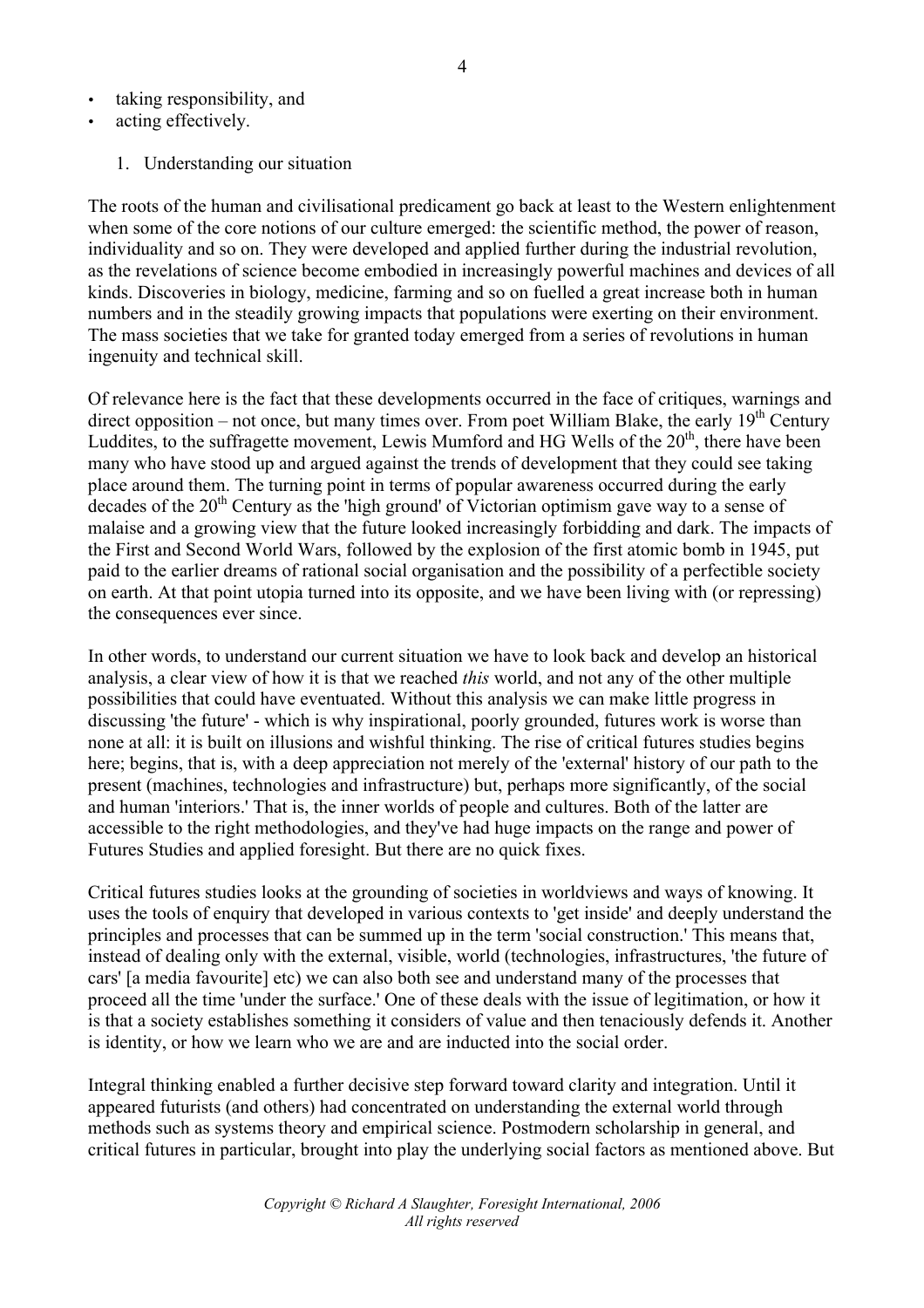- taking responsibility, and
- acting effectively.
	- 1. Understanding our situation

The roots of the human and civilisational predicament go back at least to the Western enlightenment when some of the core notions of our culture emerged: the scientific method, the power of reason, individuality and so on. They were developed and applied further during the industrial revolution, as the revelations of science become embodied in increasingly powerful machines and devices of all kinds. Discoveries in biology, medicine, farming and so on fuelled a great increase both in human numbers and in the steadily growing impacts that populations were exerting on their environment. The mass societies that we take for granted today emerged from a series of revolutions in human ingenuity and technical skill.

Of relevance here is the fact that these developments occurred in the face of critiques, warnings and direct opposition – not once, but many times over. From poet William Blake, the early  $19<sup>th</sup>$  Century Luddites, to the suffragette movement, Lewis Mumford and HG Wells of the  $20<sup>th</sup>$ , there have been many who have stood up and argued against the trends of development that they could see taking place around them. The turning point in terms of popular awareness occurred during the early decades of the  $20<sup>th</sup>$  Century as the 'high ground' of Victorian optimism gave way to a sense of malaise and a growing view that the future looked increasingly forbidding and dark. The impacts of the First and Second World Wars, followed by the explosion of the first atomic bomb in 1945, put paid to the earlier dreams of rational social organisation and the possibility of a perfectible society on earth. At that point utopia turned into its opposite, and we have been living with (or repressing) the consequences ever since.

In other words, to understand our current situation we have to look back and develop an historical analysis, a clear view of how it is that we reached *this* world, and not any of the other multiple possibilities that could have eventuated. Without this analysis we can make little progress in discussing 'the future' - which is why inspirational, poorly grounded, futures work is worse than none at all: it is built on illusions and wishful thinking. The rise of critical futures studies begins here; begins, that is, with a deep appreciation not merely of the 'external' history of our path to the present (machines, technologies and infrastructure) but, perhaps more significantly, of the social and human 'interiors.' That is, the inner worlds of people and cultures. Both of the latter are accessible to the right methodologies, and they've had huge impacts on the range and power of Futures Studies and applied foresight. But there are no quick fixes.

Critical futures studies looks at the grounding of societies in worldviews and ways of knowing. It uses the tools of enquiry that developed in various contexts to 'get inside' and deeply understand the principles and processes that can be summed up in the term 'social construction.' This means that, instead of dealing only with the external, visible, world (technologies, infrastructures, 'the future of cars' [a media favourite] etc) we can also both see and understand many of the processes that proceed all the time 'under the surface.' One of these deals with the issue of legitimation, or how it is that a society establishes something it considers of value and then tenaciously defends it. Another is identity, or how we learn who we are and are inducted into the social order.

Integral thinking enabled a further decisive step forward toward clarity and integration. Until it appeared futurists (and others) had concentrated on understanding the external world through methods such as systems theory and empirical science. Postmodern scholarship in general, and critical futures in particular, brought into play the underlying social factors as mentioned above. But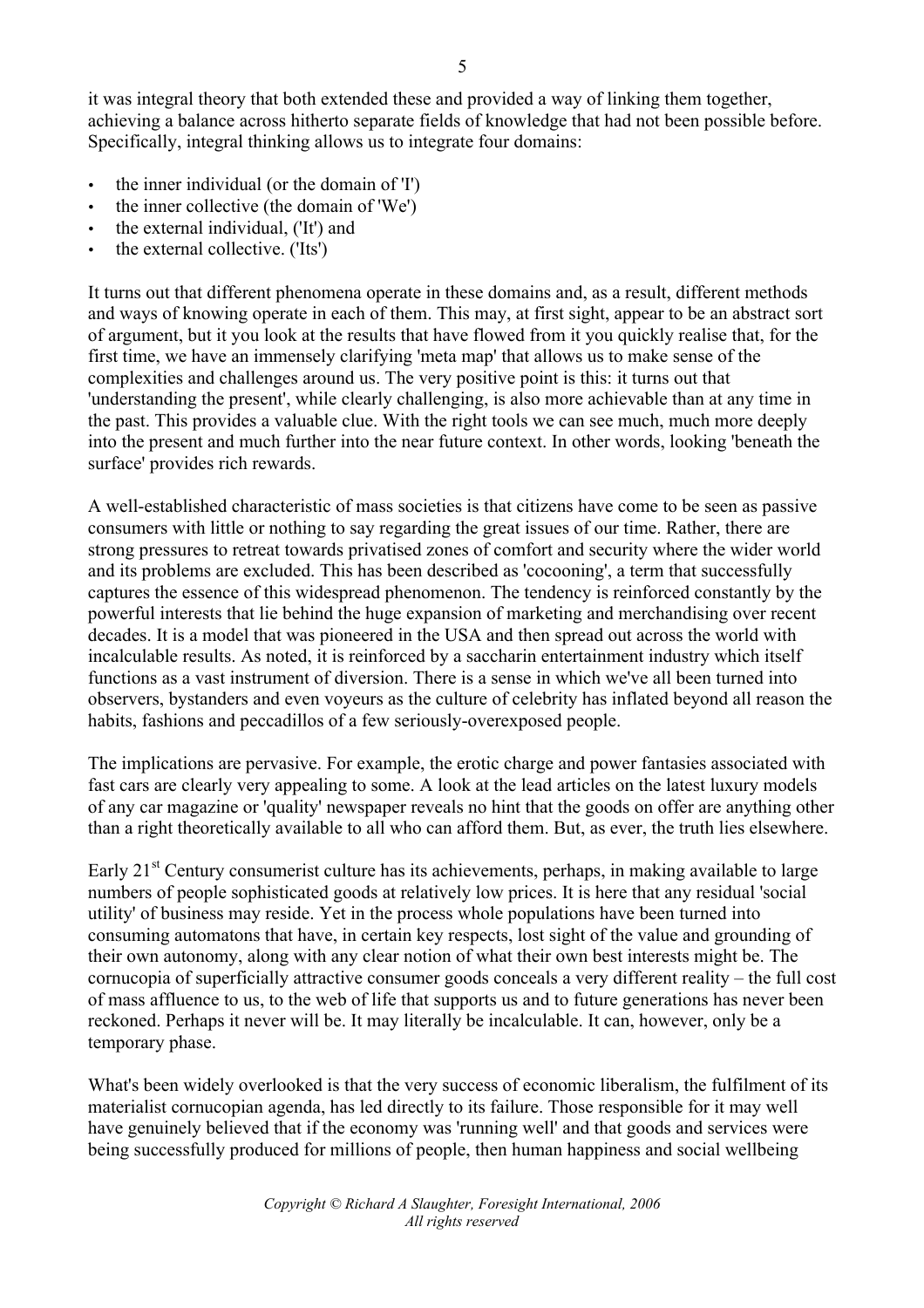it was integral theory that both extended these and provided a way of linking them together, achieving a balance across hitherto separate fields of knowledge that had not been possible before. Specifically, integral thinking allows us to integrate four domains:

- the inner individual (or the domain of 'I')
- the inner collective (the domain of 'We')
- the external individual, ('It') and
- the external collective. ('Its')

It turns out that different phenomena operate in these domains and, as a result, different methods and ways of knowing operate in each of them. This may, at first sight, appear to be an abstract sort of argument, but it you look at the results that have flowed from it you quickly realise that, for the first time, we have an immensely clarifying 'meta map' that allows us to make sense of the complexities and challenges around us. The very positive point is this: it turns out that 'understanding the present', while clearly challenging, is also more achievable than at any time in the past. This provides a valuable clue. With the right tools we can see much, much more deeply into the present and much further into the near future context. In other words, looking 'beneath the surface' provides rich rewards.

A well-established characteristic of mass societies is that citizens have come to be seen as passive consumers with little or nothing to say regarding the great issues of our time. Rather, there are strong pressures to retreat towards privatised zones of comfort and security where the wider world and its problems are excluded. This has been described as 'cocooning', a term that successfully captures the essence of this widespread phenomenon. The tendency is reinforced constantly by the powerful interests that lie behind the huge expansion of marketing and merchandising over recent decades. It is a model that was pioneered in the USA and then spread out across the world with incalculable results. As noted, it is reinforced by a saccharin entertainment industry which itself functions as a vast instrument of diversion. There is a sense in which we've all been turned into observers, bystanders and even voyeurs as the culture of celebrity has inflated beyond all reason the habits, fashions and peccadillos of a few seriously-overexposed people.

The implications are pervasive. For example, the erotic charge and power fantasies associated with fast cars are clearly very appealing to some. A look at the lead articles on the latest luxury models of any car magazine or 'quality' newspaper reveals no hint that the goods on offer are anything other than a right theoretically available to all who can afford them. But, as ever, the truth lies elsewhere.

Early  $21<sup>st</sup>$  Century consumerist culture has its achievements, perhaps, in making available to large numbers of people sophisticated goods at relatively low prices. It is here that any residual 'social utility' of business may reside. Yet in the process whole populations have been turned into consuming automatons that have, in certain key respects, lost sight of the value and grounding of their own autonomy, along with any clear notion of what their own best interests might be. The cornucopia of superficially attractive consumer goods conceals a very different reality – the full cost of mass affluence to us, to the web of life that supports us and to future generations has never been reckoned. Perhaps it never will be. It may literally be incalculable. It can, however, only be a temporary phase.

What's been widely overlooked is that the very success of economic liberalism, the fulfilment of its materialist cornucopian agenda, has led directly to its failure. Those responsible for it may well have genuinely believed that if the economy was 'running well' and that goods and services were being successfully produced for millions of people, then human happiness and social wellbeing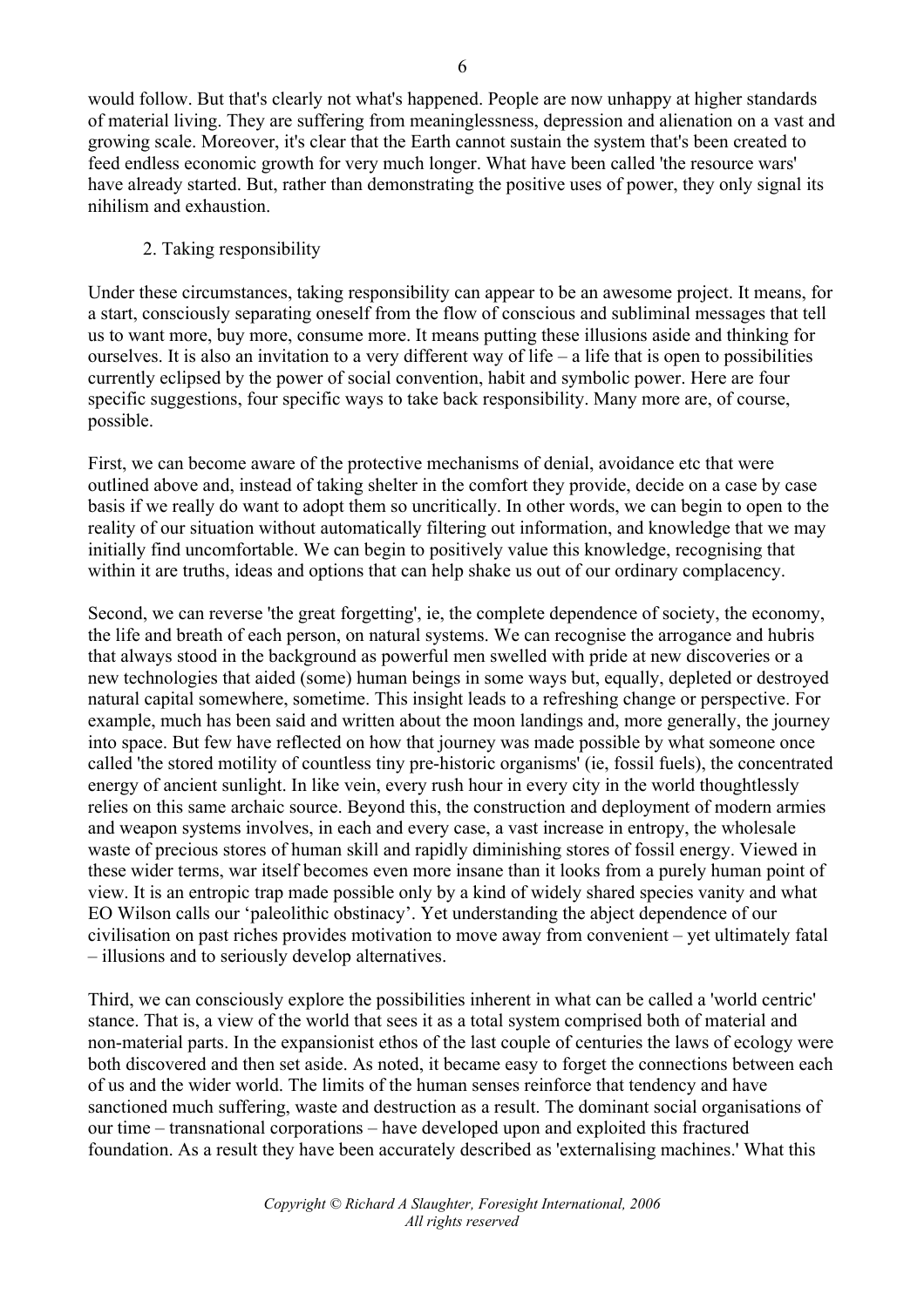would follow. But that's clearly not what's happened. People are now unhappy at higher standards of material living. They are suffering from meaninglessness, depression and alienation on a vast and growing scale. Moreover, it's clear that the Earth cannot sustain the system that's been created to feed endless economic growth for very much longer. What have been called 'the resource wars' have already started. But, rather than demonstrating the positive uses of power, they only signal its nihilism and exhaustion.

### 2. Taking responsibility

Under these circumstances, taking responsibility can appear to be an awesome project. It means, for a start, consciously separating oneself from the flow of conscious and subliminal messages that tell us to want more, buy more, consume more. It means putting these illusions aside and thinking for ourselves. It is also an invitation to a very different way of life – a life that is open to possibilities currently eclipsed by the power of social convention, habit and symbolic power. Here are four specific suggestions, four specific ways to take back responsibility. Many more are, of course, possible.

First, we can become aware of the protective mechanisms of denial, avoidance etc that were outlined above and, instead of taking shelter in the comfort they provide, decide on a case by case basis if we really do want to adopt them so uncritically. In other words, we can begin to open to the reality of our situation without automatically filtering out information, and knowledge that we may initially find uncomfortable. We can begin to positively value this knowledge, recognising that within it are truths, ideas and options that can help shake us out of our ordinary complacency.

Second, we can reverse 'the great forgetting', ie, the complete dependence of society, the economy, the life and breath of each person, on natural systems. We can recognise the arrogance and hubris that always stood in the background as powerful men swelled with pride at new discoveries or a new technologies that aided (some) human beings in some ways but, equally, depleted or destroyed natural capital somewhere, sometime. This insight leads to a refreshing change or perspective. For example, much has been said and written about the moon landings and, more generally, the journey into space. But few have reflected on how that journey was made possible by what someone once called 'the stored motility of countless tiny pre-historic organisms' (ie, fossil fuels), the concentrated energy of ancient sunlight. In like vein, every rush hour in every city in the world thoughtlessly relies on this same archaic source. Beyond this, the construction and deployment of modern armies and weapon systems involves, in each and every case, a vast increase in entropy, the wholesale waste of precious stores of human skill and rapidly diminishing stores of fossil energy. Viewed in these wider terms, war itself becomes even more insane than it looks from a purely human point of view. It is an entropic trap made possible only by a kind of widely shared species vanity and what EO Wilson calls our 'paleolithic obstinacy'. Yet understanding the abject dependence of our civilisation on past riches provides motivation to move away from convenient – yet ultimately fatal – illusions and to seriously develop alternatives.

Third, we can consciously explore the possibilities inherent in what can be called a 'world centric' stance. That is, a view of the world that sees it as a total system comprised both of material and non-material parts. In the expansionist ethos of the last couple of centuries the laws of ecology were both discovered and then set aside. As noted, it became easy to forget the connections between each of us and the wider world. The limits of the human senses reinforce that tendency and have sanctioned much suffering, waste and destruction as a result. The dominant social organisations of our time – transnational corporations – have developed upon and exploited this fractured foundation. As a result they have been accurately described as 'externalising machines.' What this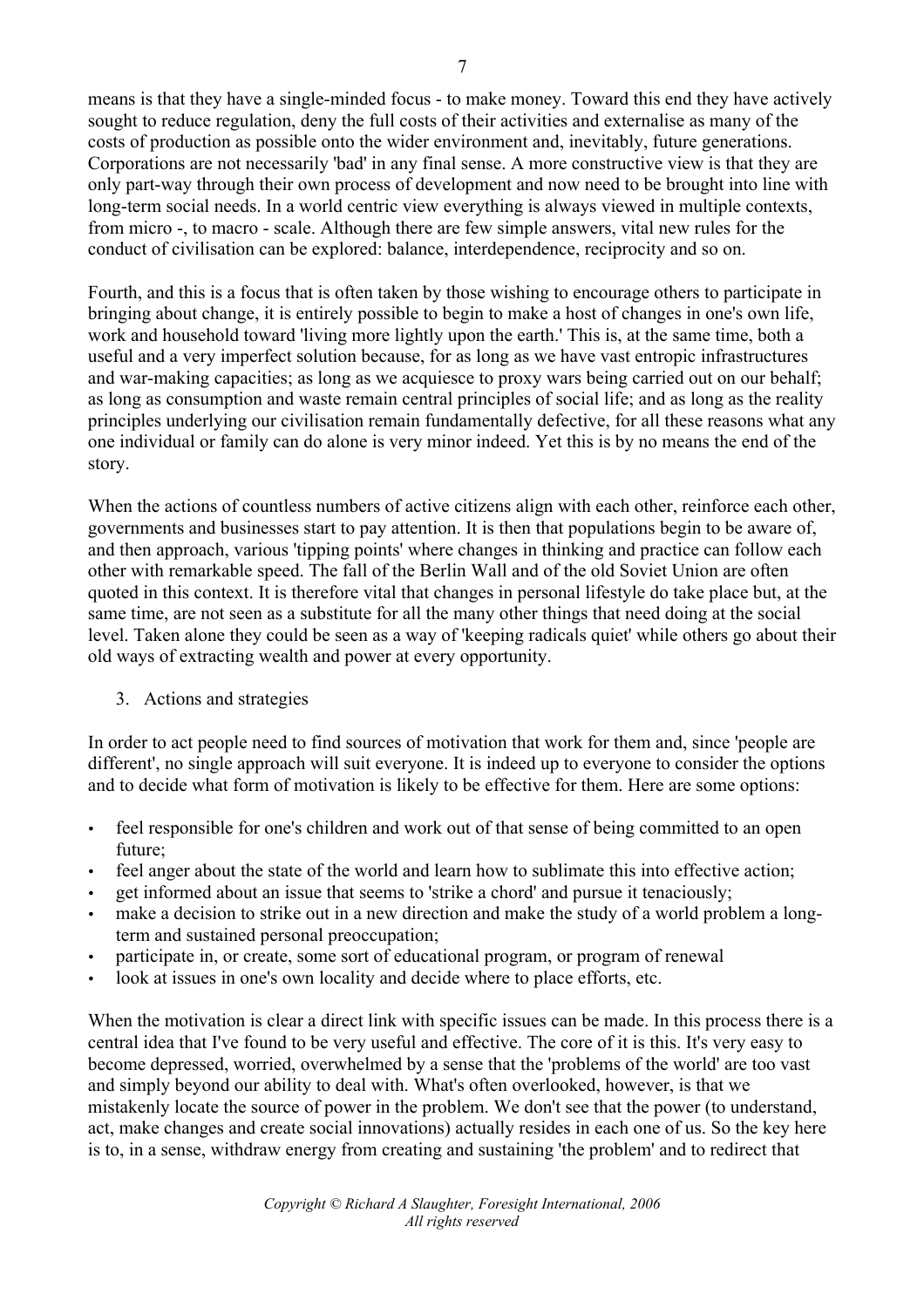means is that they have a single-minded focus - to make money. Toward this end they have actively sought to reduce regulation, deny the full costs of their activities and externalise as many of the costs of production as possible onto the wider environment and, inevitably, future generations. Corporations are not necessarily 'bad' in any final sense. A more constructive view is that they are only part-way through their own process of development and now need to be brought into line with long-term social needs. In a world centric view everything is always viewed in multiple contexts, from micro -, to macro - scale. Although there are few simple answers, vital new rules for the conduct of civilisation can be explored: balance, interdependence, reciprocity and so on.

Fourth, and this is a focus that is often taken by those wishing to encourage others to participate in bringing about change, it is entirely possible to begin to make a host of changes in one's own life, work and household toward 'living more lightly upon the earth.' This is, at the same time, both a useful and a very imperfect solution because, for as long as we have vast entropic infrastructures and war-making capacities; as long as we acquiesce to proxy wars being carried out on our behalf; as long as consumption and waste remain central principles of social life; and as long as the reality principles underlying our civilisation remain fundamentally defective, for all these reasons what any one individual or family can do alone is very minor indeed. Yet this is by no means the end of the story.

When the actions of countless numbers of active citizens align with each other, reinforce each other, governments and businesses start to pay attention. It is then that populations begin to be aware of, and then approach, various 'tipping points' where changes in thinking and practice can follow each other with remarkable speed. The fall of the Berlin Wall and of the old Soviet Union are often quoted in this context. It is therefore vital that changes in personal lifestyle do take place but, at the same time, are not seen as a substitute for all the many other things that need doing at the social level. Taken alone they could be seen as a way of 'keeping radicals quiet' while others go about their old ways of extracting wealth and power at every opportunity.

3. Actions and strategies

In order to act people need to find sources of motivation that work for them and, since 'people are different', no single approach will suit everyone. It is indeed up to everyone to consider the options and to decide what form of motivation is likely to be effective for them. Here are some options:

- feel responsible for one's children and work out of that sense of being committed to an open future;
- feel anger about the state of the world and learn how to sublimate this into effective action;
- get informed about an issue that seems to 'strike a chord' and pursue it tenaciously;
- make a decision to strike out in a new direction and make the study of a world problem a longterm and sustained personal preoccupation;
- participate in, or create, some sort of educational program, or program of renewal
- look at issues in one's own locality and decide where to place efforts, etc.

When the motivation is clear a direct link with specific issues can be made. In this process there is a central idea that I've found to be very useful and effective. The core of it is this. It's very easy to become depressed, worried, overwhelmed by a sense that the 'problems of the world' are too vast and simply beyond our ability to deal with. What's often overlooked, however, is that we mistakenly locate the source of power in the problem. We don't see that the power (to understand, act, make changes and create social innovations) actually resides in each one of us. So the key here is to, in a sense, withdraw energy from creating and sustaining 'the problem' and to redirect that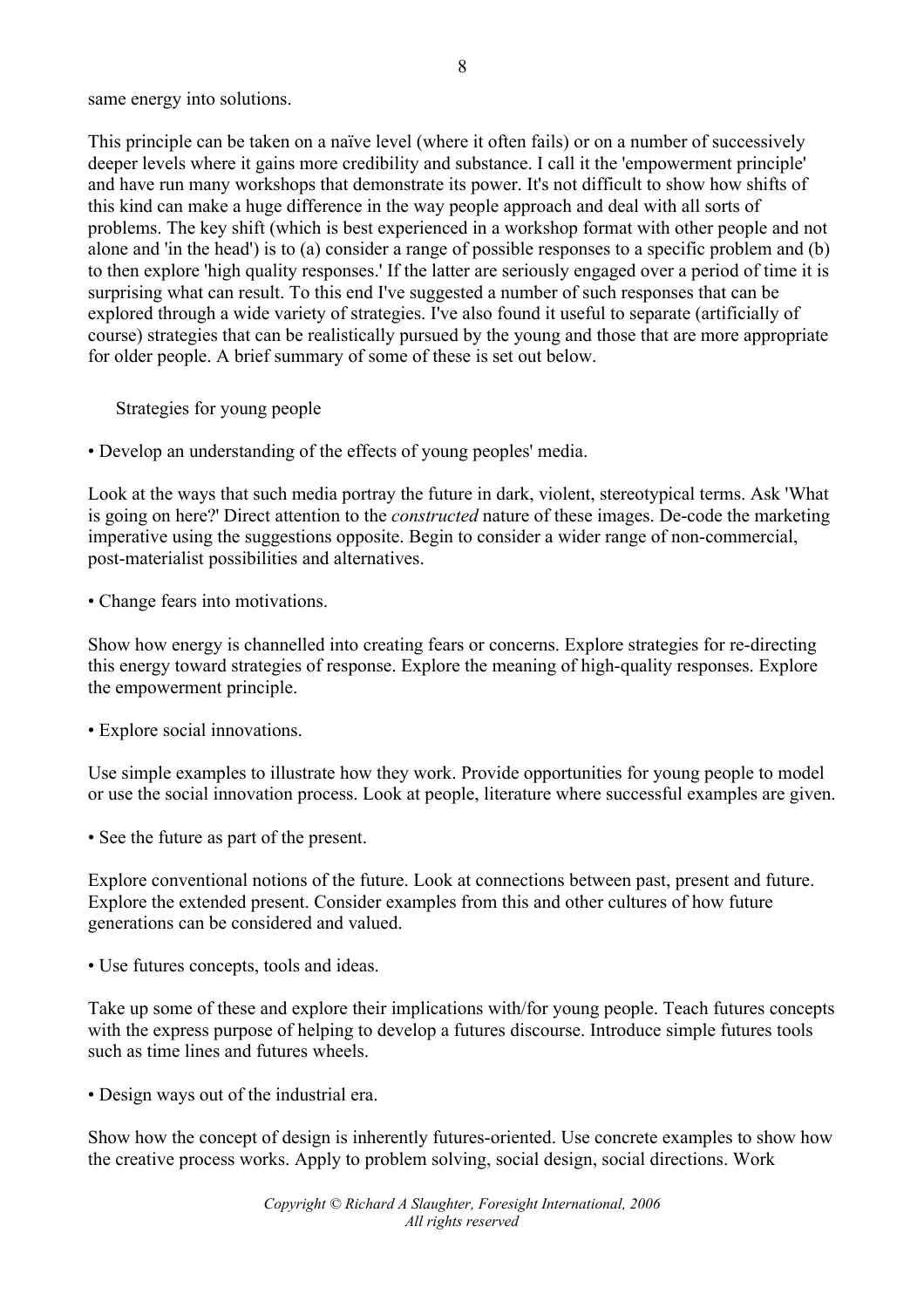same energy into solutions.

This principle can be taken on a naïve level (where it often fails) or on a number of successively deeper levels where it gains more credibility and substance. I call it the 'empowerment principle' and have run many workshops that demonstrate its power. It's not difficult to show how shifts of this kind can make a huge difference in the way people approach and deal with all sorts of problems. The key shift (which is best experienced in a workshop format with other people and not alone and 'in the head') is to (a) consider a range of possible responses to a specific problem and (b) to then explore 'high quality responses.' If the latter are seriously engaged over a period of time it is surprising what can result. To this end I've suggested a number of such responses that can be explored through a wide variety of strategies. I've also found it useful to separate (artificially of course) strategies that can be realistically pursued by the young and those that are more appropriate for older people. A brief summary of some of these is set out below.

Strategies for young people

• Develop an understanding of the effects of young peoples' media.

Look at the ways that such media portray the future in dark, violent, stereotypical terms. Ask 'What is going on here?' Direct attention to the *constructed* nature of these images. De-code the marketing imperative using the suggestions opposite. Begin to consider a wider range of non-commercial, post-materialist possibilities and alternatives.

• Change fears into motivations.

Show how energy is channelled into creating fears or concerns. Explore strategies for re-directing this energy toward strategies of response. Explore the meaning of high-quality responses. Explore the empowerment principle.

• Explore social innovations.

Use simple examples to illustrate how they work. Provide opportunities for young people to model or use the social innovation process. Look at people, literature where successful examples are given.

• See the future as part of the present.

Explore conventional notions of the future. Look at connections between past, present and future. Explore the extended present. Consider examples from this and other cultures of how future generations can be considered and valued.

• Use futures concepts, tools and ideas.

Take up some of these and explore their implications with/for young people. Teach futures concepts with the express purpose of helping to develop a futures discourse. Introduce simple futures tools such as time lines and futures wheels.

• Design ways out of the industrial era.

Show how the concept of design is inherently futures-oriented. Use concrete examples to show how the creative process works. Apply to problem solving, social design, social directions. Work

8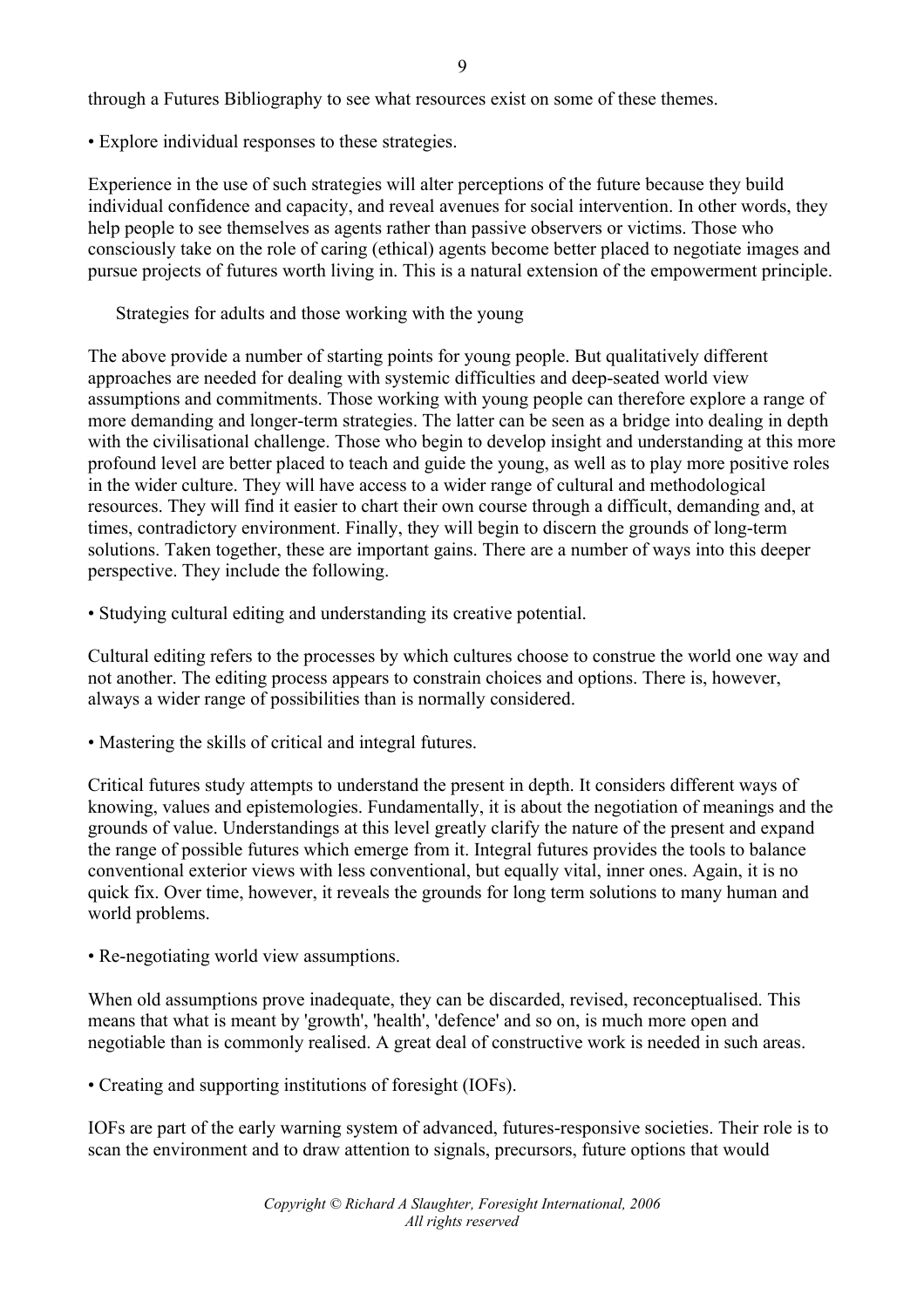through a Futures Bibliography to see what resources exist on some of these themes.

• Explore individual responses to these strategies.

Experience in the use of such strategies will alter perceptions of the future because they build individual confidence and capacity, and reveal avenues for social intervention. In other words, they help people to see themselves as agents rather than passive observers or victims. Those who consciously take on the role of caring (ethical) agents become better placed to negotiate images and pursue projects of futures worth living in. This is a natural extension of the empowerment principle.

Strategies for adults and those working with the young

The above provide a number of starting points for young people. But qualitatively different approaches are needed for dealing with systemic difficulties and deep-seated world view assumptions and commitments. Those working with young people can therefore explore a range of more demanding and longer-term strategies. The latter can be seen as a bridge into dealing in depth with the civilisational challenge. Those who begin to develop insight and understanding at this more profound level are better placed to teach and guide the young, as well as to play more positive roles in the wider culture. They will have access to a wider range of cultural and methodological resources. They will find it easier to chart their own course through a difficult, demanding and, at times, contradictory environment. Finally, they will begin to discern the grounds of long-term solutions. Taken together, these are important gains. There are a number of ways into this deeper perspective. They include the following.

• Studying cultural editing and understanding its creative potential.

Cultural editing refers to the processes by which cultures choose to construe the world one way and not another. The editing process appears to constrain choices and options. There is, however, always a wider range of possibilities than is normally considered.

• Mastering the skills of critical and integral futures.

Critical futures study attempts to understand the present in depth. It considers different ways of knowing, values and epistemologies. Fundamentally, it is about the negotiation of meanings and the grounds of value. Understandings at this level greatly clarify the nature of the present and expand the range of possible futures which emerge from it. Integral futures provides the tools to balance conventional exterior views with less conventional, but equally vital, inner ones. Again, it is no quick fix. Over time, however, it reveals the grounds for long term solutions to many human and world problems.

• Re-negotiating world view assumptions.

When old assumptions prove inadequate, they can be discarded, revised, reconceptualised. This means that what is meant by 'growth', 'health', 'defence' and so on, is much more open and negotiable than is commonly realised. A great deal of constructive work is needed in such areas.

• Creating and supporting institutions of foresight (IOFs).

IOFs are part of the early warning system of advanced, futures-responsive societies. Their role is to scan the environment and to draw attention to signals, precursors, future options that would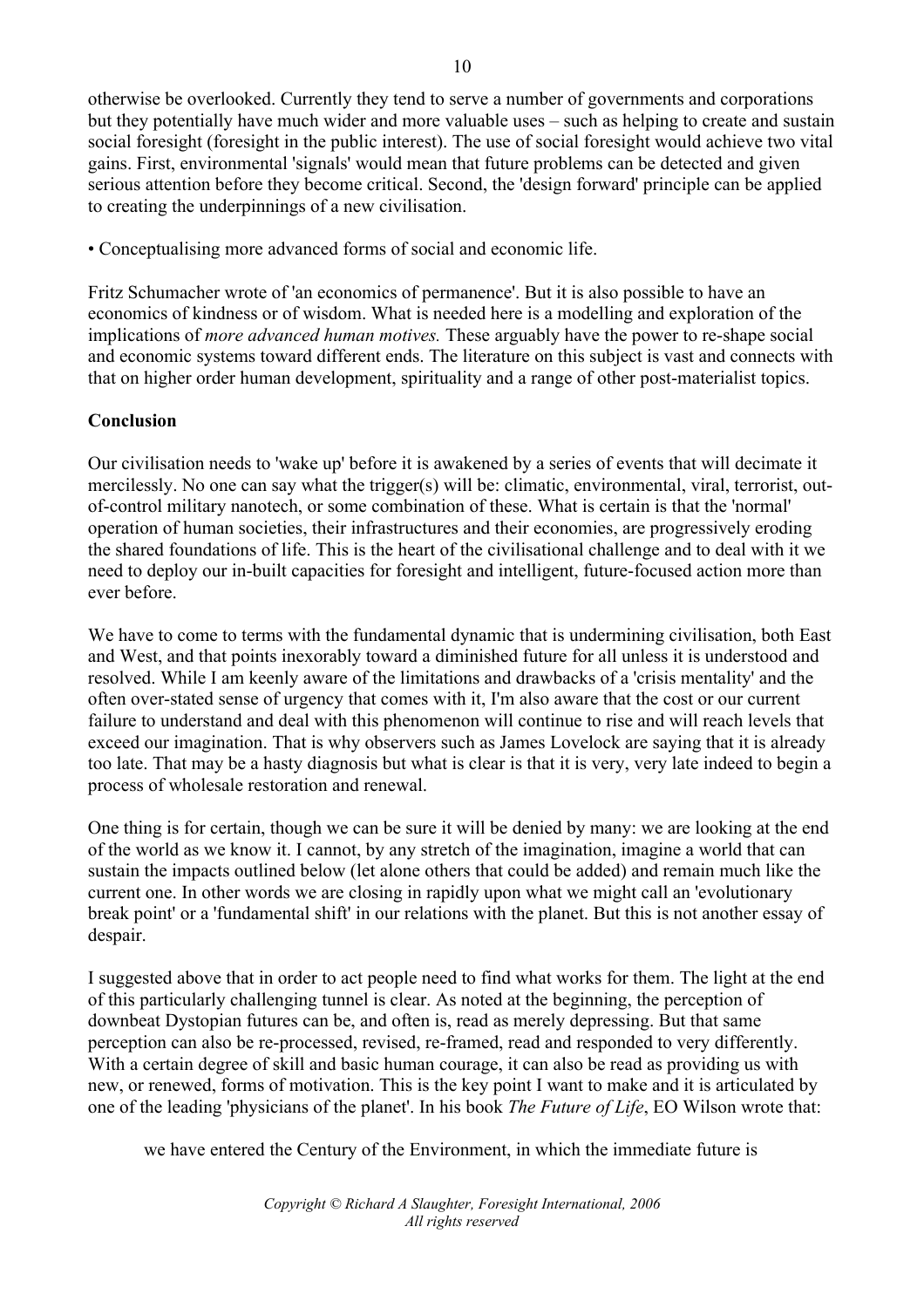otherwise be overlooked. Currently they tend to serve a number of governments and corporations but they potentially have much wider and more valuable uses – such as helping to create and sustain social foresight (foresight in the public interest). The use of social foresight would achieve two vital gains. First, environmental 'signals' would mean that future problems can be detected and given serious attention before they become critical. Second, the 'design forward' principle can be applied to creating the underpinnings of a new civilisation.

• Conceptualising more advanced forms of social and economic life.

Fritz Schumacher wrote of 'an economics of permanence'. But it is also possible to have an economics of kindness or of wisdom. What is needed here is a modelling and exploration of the implications of *more advanced human motives.* These arguably have the power to re-shape social and economic systems toward different ends. The literature on this subject is vast and connects with that on higher order human development, spirituality and a range of other post-materialist topics.

# **Conclusion**

Our civilisation needs to 'wake up' before it is awakened by a series of events that will decimate it mercilessly. No one can say what the trigger(s) will be: climatic, environmental, viral, terrorist, outof-control military nanotech, or some combination of these. What is certain is that the 'normal' operation of human societies, their infrastructures and their economies, are progressively eroding the shared foundations of life. This is the heart of the civilisational challenge and to deal with it we need to deploy our in-built capacities for foresight and intelligent, future-focused action more than ever before.

We have to come to terms with the fundamental dynamic that is undermining civilisation, both East and West, and that points inexorably toward a diminished future for all unless it is understood and resolved. While I am keenly aware of the limitations and drawbacks of a 'crisis mentality' and the often over-stated sense of urgency that comes with it, I'm also aware that the cost or our current failure to understand and deal with this phenomenon will continue to rise and will reach levels that exceed our imagination. That is why observers such as James Lovelock are saying that it is already too late. That may be a hasty diagnosis but what is clear is that it is very, very late indeed to begin a process of wholesale restoration and renewal.

One thing is for certain, though we can be sure it will be denied by many: we are looking at the end of the world as we know it. I cannot, by any stretch of the imagination, imagine a world that can sustain the impacts outlined below (let alone others that could be added) and remain much like the current one. In other words we are closing in rapidly upon what we might call an 'evolutionary break point' or a 'fundamental shift' in our relations with the planet. But this is not another essay of despair.

I suggested above that in order to act people need to find what works for them. The light at the end of this particularly challenging tunnel is clear. As noted at the beginning, the perception of downbeat Dystopian futures can be, and often is, read as merely depressing. But that same perception can also be re-processed, revised, re-framed, read and responded to very differently. With a certain degree of skill and basic human courage, it can also be read as providing us with new, or renewed, forms of motivation. This is the key point I want to make and it is articulated by one of the leading 'physicians of the planet'. In his book *The Future of Life*, EO Wilson wrote that:

we have entered the Century of the Environment, in which the immediate future is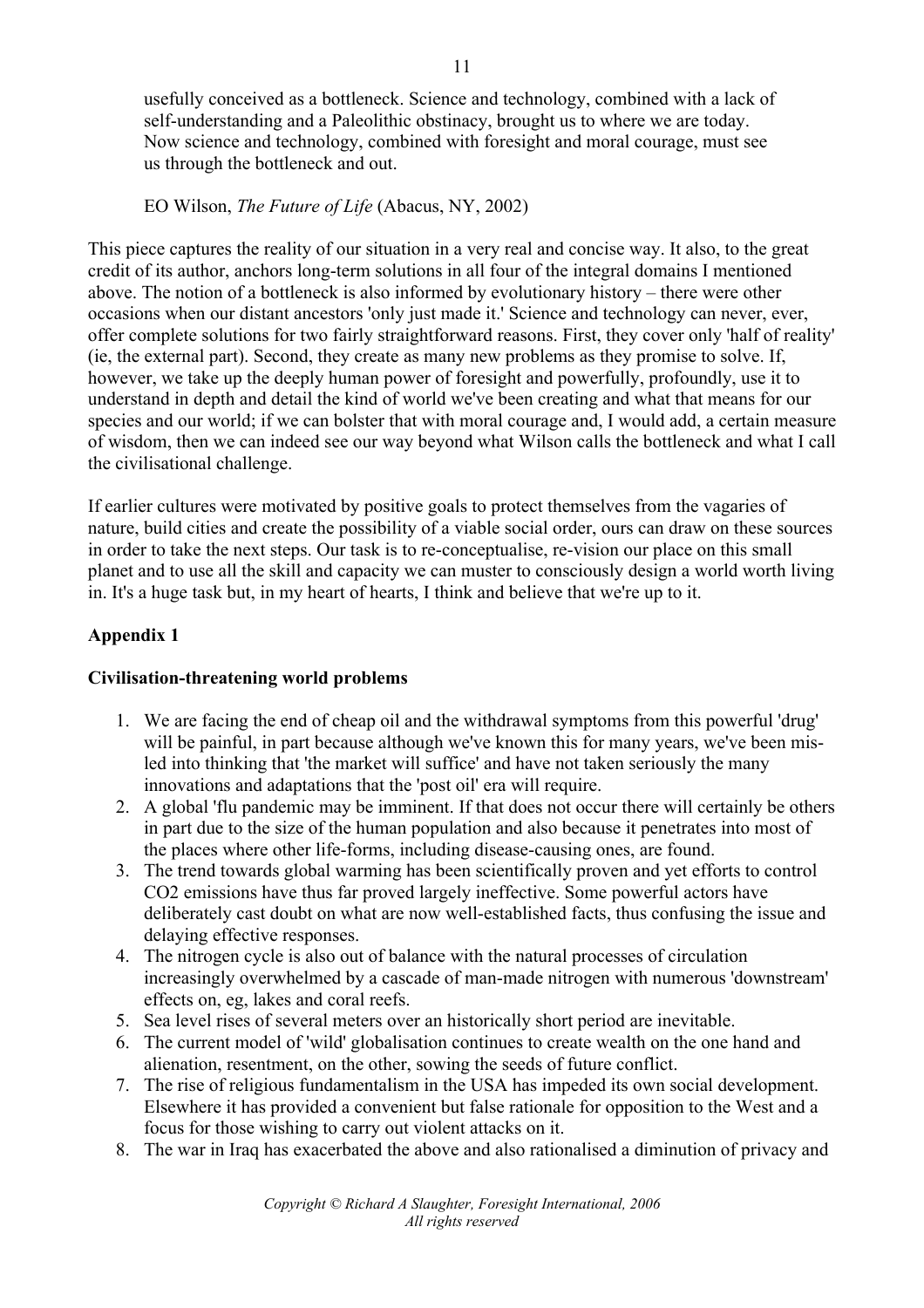usefully conceived as a bottleneck. Science and technology, combined with a lack of self-understanding and a Paleolithic obstinacy, brought us to where we are today. Now science and technology, combined with foresight and moral courage, must see us through the bottleneck and out.

EO Wilson, *The Future of Life* (Abacus, NY, 2002)

This piece captures the reality of our situation in a very real and concise way. It also, to the great credit of its author, anchors long-term solutions in all four of the integral domains I mentioned above. The notion of a bottleneck is also informed by evolutionary history – there were other occasions when our distant ancestors 'only just made it.' Science and technology can never, ever, offer complete solutions for two fairly straightforward reasons. First, they cover only 'half of reality' (ie, the external part). Second, they create as many new problems as they promise to solve. If, however, we take up the deeply human power of foresight and powerfully, profoundly, use it to understand in depth and detail the kind of world we've been creating and what that means for our species and our world; if we can bolster that with moral courage and, I would add, a certain measure of wisdom, then we can indeed see our way beyond what Wilson calls the bottleneck and what I call the civilisational challenge.

If earlier cultures were motivated by positive goals to protect themselves from the vagaries of nature, build cities and create the possibility of a viable social order, ours can draw on these sources in order to take the next steps. Our task is to re-conceptualise, re-vision our place on this small planet and to use all the skill and capacity we can muster to consciously design a world worth living in. It's a huge task but, in my heart of hearts, I think and believe that we're up to it.

# **Appendix 1**

# **Civilisation-threatening world problems**

- 1. We are facing the end of cheap oil and the withdrawal symptoms from this powerful 'drug' will be painful, in part because although we've known this for many years, we've been misled into thinking that 'the market will suffice' and have not taken seriously the many innovations and adaptations that the 'post oil' era will require.
- 2. A global 'flu pandemic may be imminent. If that does not occur there will certainly be others in part due to the size of the human population and also because it penetrates into most of the places where other life-forms, including disease-causing ones, are found.
- 3. The trend towards global warming has been scientifically proven and yet efforts to control CO2 emissions have thus far proved largely ineffective. Some powerful actors have deliberately cast doubt on what are now well-established facts, thus confusing the issue and delaying effective responses.
- 4. The nitrogen cycle is also out of balance with the natural processes of circulation increasingly overwhelmed by a cascade of man-made nitrogen with numerous 'downstream' effects on, eg, lakes and coral reefs.
- 5. Sea level rises of several meters over an historically short period are inevitable.
- 6. The current model of 'wild' globalisation continues to create wealth on the one hand and alienation, resentment, on the other, sowing the seeds of future conflict.
- 7. The rise of religious fundamentalism in the USA has impeded its own social development. Elsewhere it has provided a convenient but false rationale for opposition to the West and a focus for those wishing to carry out violent attacks on it.
- 8. The war in Iraq has exacerbated the above and also rationalised a diminution of privacy and

11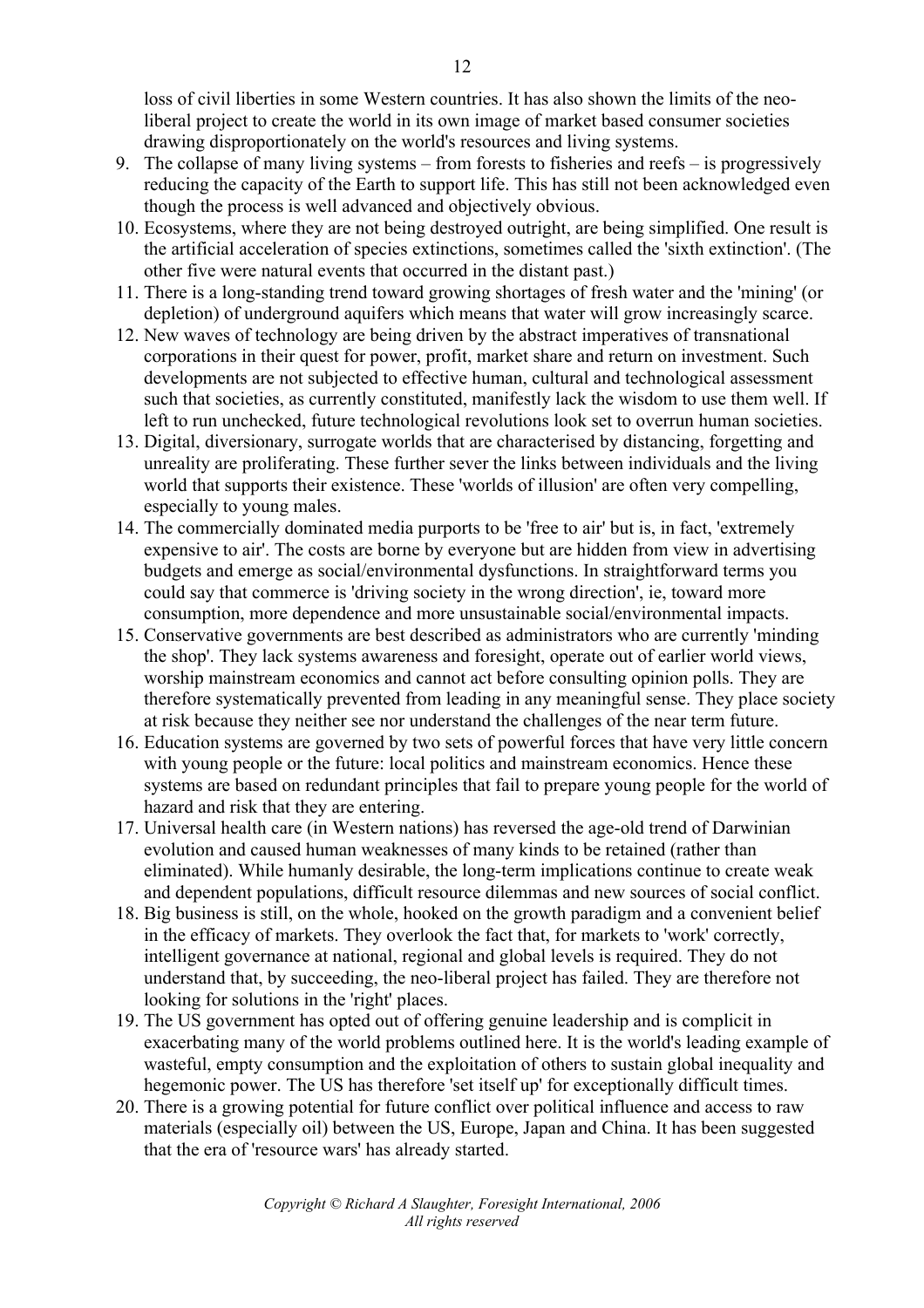loss of civil liberties in some Western countries. It has also shown the limits of the neoliberal project to create the world in its own image of market based consumer societies drawing disproportionately on the world's resources and living systems.

- 9. The collapse of many living systems from forests to fisheries and reefs is progressively reducing the capacity of the Earth to support life. This has still not been acknowledged even though the process is well advanced and objectively obvious.
- 10. Ecosystems, where they are not being destroyed outright, are being simplified. One result is the artificial acceleration of species extinctions, sometimes called the 'sixth extinction'. (The other five were natural events that occurred in the distant past.)
- 11. There is a long-standing trend toward growing shortages of fresh water and the 'mining' (or depletion) of underground aquifers which means that water will grow increasingly scarce.
- 12. New waves of technology are being driven by the abstract imperatives of transnational corporations in their quest for power, profit, market share and return on investment. Such developments are not subjected to effective human, cultural and technological assessment such that societies, as currently constituted, manifestly lack the wisdom to use them well. If left to run unchecked, future technological revolutions look set to overrun human societies.
- 13. Digital, diversionary, surrogate worlds that are characterised by distancing, forgetting and unreality are proliferating. These further sever the links between individuals and the living world that supports their existence. These 'worlds of illusion' are often very compelling, especially to young males.
- 14. The commercially dominated media purports to be 'free to air' but is, in fact, 'extremely expensive to air'. The costs are borne by everyone but are hidden from view in advertising budgets and emerge as social/environmental dysfunctions. In straightforward terms you could say that commerce is 'driving society in the wrong direction', ie, toward more consumption, more dependence and more unsustainable social/environmental impacts.
- 15. Conservative governments are best described as administrators who are currently 'minding the shop'. They lack systems awareness and foresight, operate out of earlier world views, worship mainstream economics and cannot act before consulting opinion polls. They are therefore systematically prevented from leading in any meaningful sense. They place society at risk because they neither see nor understand the challenges of the near term future.
- 16. Education systems are governed by two sets of powerful forces that have very little concern with young people or the future: local politics and mainstream economics. Hence these systems are based on redundant principles that fail to prepare young people for the world of hazard and risk that they are entering.
- 17. Universal health care (in Western nations) has reversed the age-old trend of Darwinian evolution and caused human weaknesses of many kinds to be retained (rather than eliminated). While humanly desirable, the long-term implications continue to create weak and dependent populations, difficult resource dilemmas and new sources of social conflict.
- 18. Big business is still, on the whole, hooked on the growth paradigm and a convenient belief in the efficacy of markets. They overlook the fact that, for markets to 'work' correctly, intelligent governance at national, regional and global levels is required. They do not understand that, by succeeding, the neo-liberal project has failed. They are therefore not looking for solutions in the 'right' places.
- 19. The US government has opted out of offering genuine leadership and is complicit in exacerbating many of the world problems outlined here. It is the world's leading example of wasteful, empty consumption and the exploitation of others to sustain global inequality and hegemonic power. The US has therefore 'set itself up' for exceptionally difficult times.
- 20. There is a growing potential for future conflict over political influence and access to raw materials (especially oil) between the US, Europe, Japan and China. It has been suggested that the era of 'resource wars' has already started.

*Copyright © Richard A Slaughter, Foresight International, 2006 All rights reserved*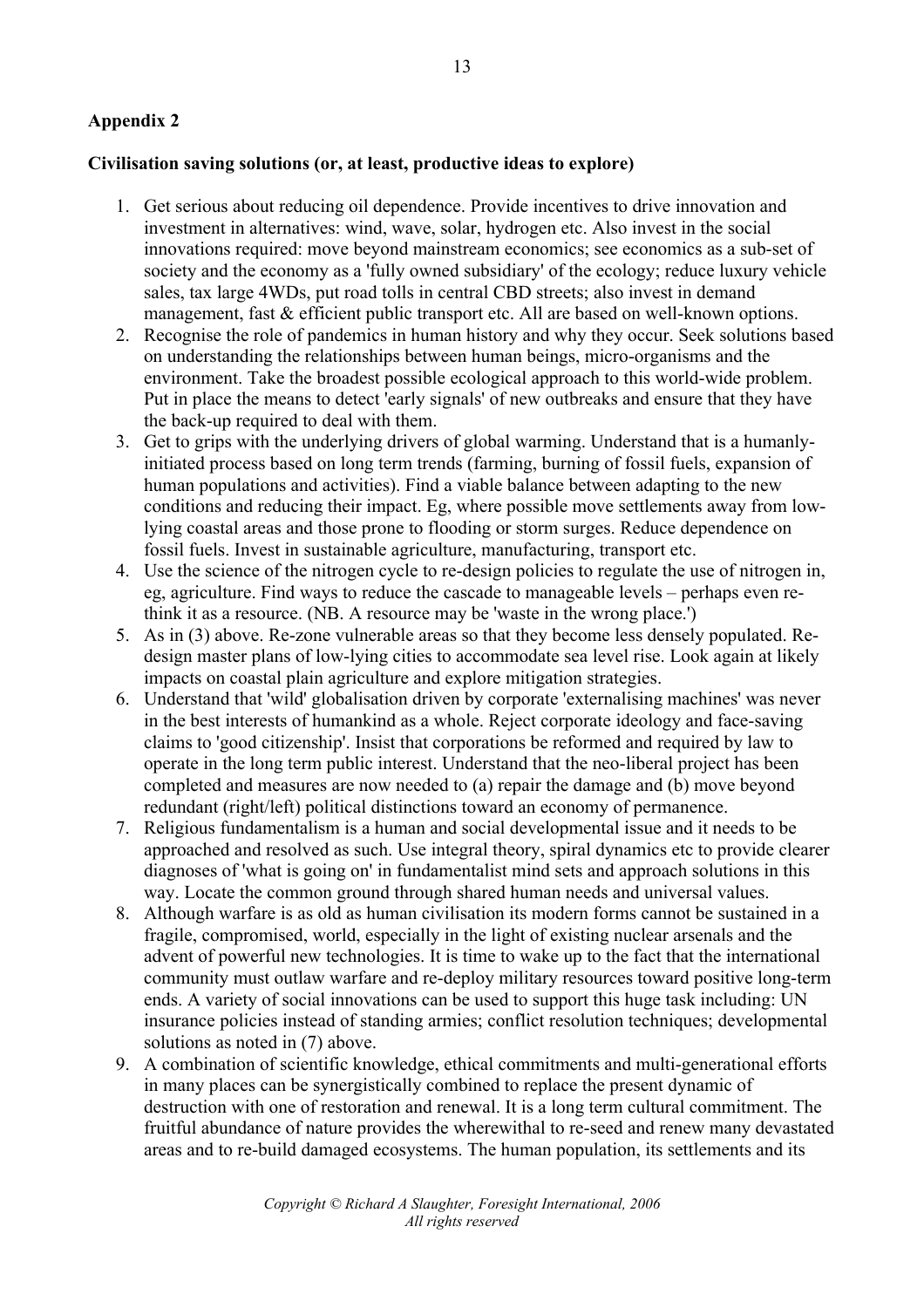# **Appendix 2**

#### **Civilisation saving solutions (or, at least, productive ideas to explore)**

- 1. Get serious about reducing oil dependence. Provide incentives to drive innovation and investment in alternatives: wind, wave, solar, hydrogen etc. Also invest in the social innovations required: move beyond mainstream economics; see economics as a sub-set of society and the economy as a 'fully owned subsidiary' of the ecology; reduce luxury vehicle sales, tax large 4WDs, put road tolls in central CBD streets; also invest in demand management, fast & efficient public transport etc. All are based on well-known options.
- 2. Recognise the role of pandemics in human history and why they occur. Seek solutions based on understanding the relationships between human beings, micro-organisms and the environment. Take the broadest possible ecological approach to this world-wide problem. Put in place the means to detect 'early signals' of new outbreaks and ensure that they have the back-up required to deal with them.
- 3. Get to grips with the underlying drivers of global warming. Understand that is a humanlyinitiated process based on long term trends (farming, burning of fossil fuels, expansion of human populations and activities). Find a viable balance between adapting to the new conditions and reducing their impact. Eg, where possible move settlements away from lowlying coastal areas and those prone to flooding or storm surges. Reduce dependence on fossil fuels. Invest in sustainable agriculture, manufacturing, transport etc.
- 4. Use the science of the nitrogen cycle to re-design policies to regulate the use of nitrogen in, eg, agriculture. Find ways to reduce the cascade to manageable levels – perhaps even rethink it as a resource. (NB. A resource may be 'waste in the wrong place.')
- 5. As in (3) above. Re-zone vulnerable areas so that they become less densely populated. Redesign master plans of low-lying cities to accommodate sea level rise. Look again at likely impacts on coastal plain agriculture and explore mitigation strategies.
- 6. Understand that 'wild' globalisation driven by corporate 'externalising machines' was never in the best interests of humankind as a whole. Reject corporate ideology and face-saving claims to 'good citizenship'. Insist that corporations be reformed and required by law to operate in the long term public interest. Understand that the neo-liberal project has been completed and measures are now needed to (a) repair the damage and (b) move beyond redundant (right/left) political distinctions toward an economy of permanence.
- 7. Religious fundamentalism is a human and social developmental issue and it needs to be approached and resolved as such. Use integral theory, spiral dynamics etc to provide clearer diagnoses of 'what is going on' in fundamentalist mind sets and approach solutions in this way. Locate the common ground through shared human needs and universal values.
- 8. Although warfare is as old as human civilisation its modern forms cannot be sustained in a fragile, compromised, world, especially in the light of existing nuclear arsenals and the advent of powerful new technologies. It is time to wake up to the fact that the international community must outlaw warfare and re-deploy military resources toward positive long-term ends. A variety of social innovations can be used to support this huge task including: UN insurance policies instead of standing armies; conflict resolution techniques; developmental solutions as noted in (7) above.
- 9. A combination of scientific knowledge, ethical commitments and multi-generational efforts in many places can be synergistically combined to replace the present dynamic of destruction with one of restoration and renewal. It is a long term cultural commitment. The fruitful abundance of nature provides the wherewithal to re-seed and renew many devastated areas and to re-build damaged ecosystems. The human population, its settlements and its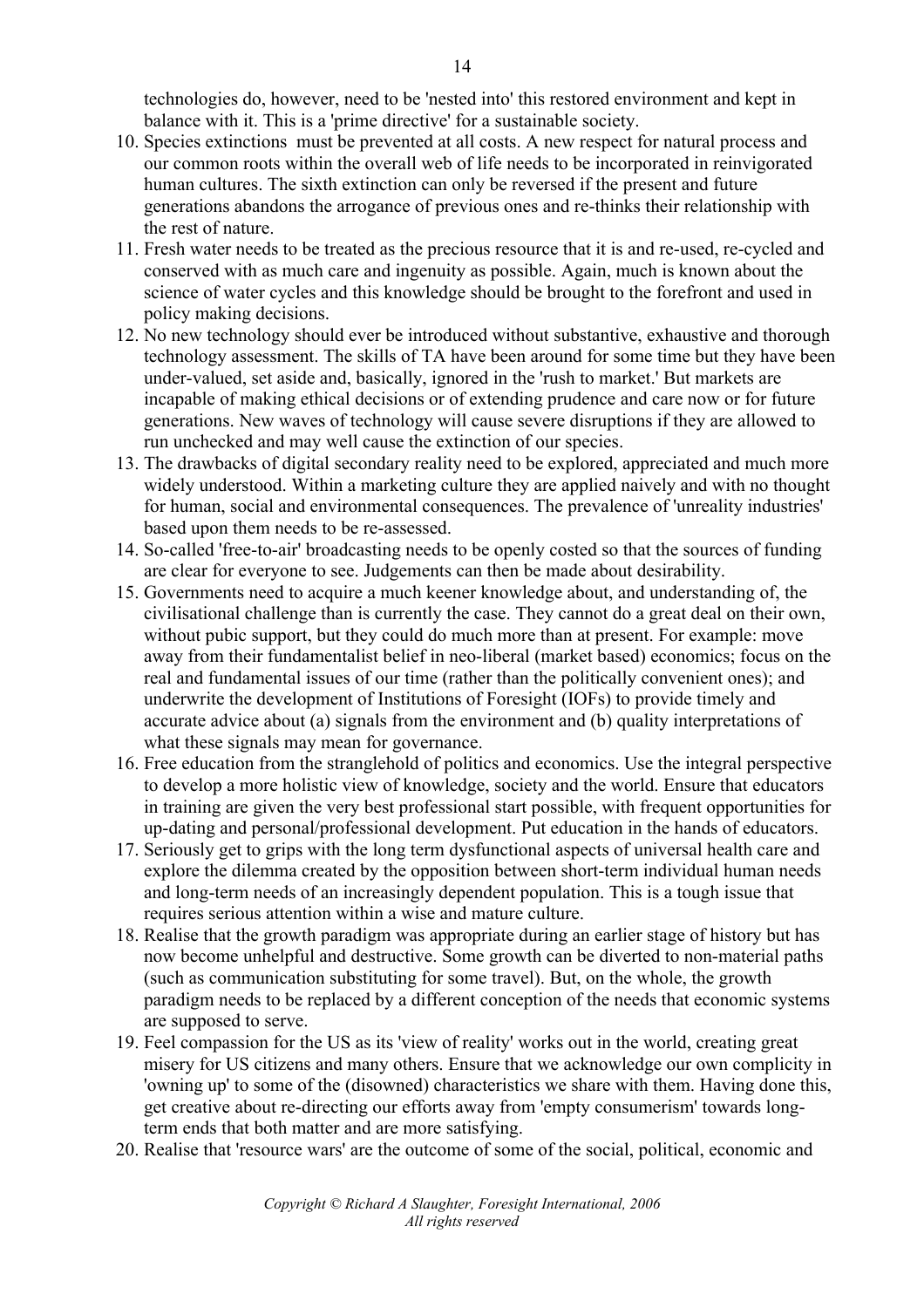technologies do, however, need to be 'nested into' this restored environment and kept in balance with it. This is a 'prime directive' for a sustainable society.

- 10. Species extinctions must be prevented at all costs. A new respect for natural process and our common roots within the overall web of life needs to be incorporated in reinvigorated human cultures. The sixth extinction can only be reversed if the present and future generations abandons the arrogance of previous ones and re-thinks their relationship with the rest of nature.
- 11. Fresh water needs to be treated as the precious resource that it is and re-used, re-cycled and conserved with as much care and ingenuity as possible. Again, much is known about the science of water cycles and this knowledge should be brought to the forefront and used in policy making decisions.
- 12. No new technology should ever be introduced without substantive, exhaustive and thorough technology assessment. The skills of TA have been around for some time but they have been under-valued, set aside and, basically, ignored in the 'rush to market.' But markets are incapable of making ethical decisions or of extending prudence and care now or for future generations. New waves of technology will cause severe disruptions if they are allowed to run unchecked and may well cause the extinction of our species.
- 13. The drawbacks of digital secondary reality need to be explored, appreciated and much more widely understood. Within a marketing culture they are applied naively and with no thought for human, social and environmental consequences. The prevalence of 'unreality industries' based upon them needs to be re-assessed.
- 14. So-called 'free-to-air' broadcasting needs to be openly costed so that the sources of funding are clear for everyone to see. Judgements can then be made about desirability.
- 15. Governments need to acquire a much keener knowledge about, and understanding of, the civilisational challenge than is currently the case. They cannot do a great deal on their own, without pubic support, but they could do much more than at present. For example: move away from their fundamentalist belief in neo-liberal (market based) economics; focus on the real and fundamental issues of our time (rather than the politically convenient ones); and underwrite the development of Institutions of Foresight (IOFs) to provide timely and accurate advice about (a) signals from the environment and (b) quality interpretations of what these signals may mean for governance.
- 16. Free education from the stranglehold of politics and economics. Use the integral perspective to develop a more holistic view of knowledge, society and the world. Ensure that educators in training are given the very best professional start possible, with frequent opportunities for up-dating and personal/professional development. Put education in the hands of educators.
- 17. Seriously get to grips with the long term dysfunctional aspects of universal health care and explore the dilemma created by the opposition between short-term individual human needs and long-term needs of an increasingly dependent population. This is a tough issue that requires serious attention within a wise and mature culture.
- 18. Realise that the growth paradigm was appropriate during an earlier stage of history but has now become unhelpful and destructive. Some growth can be diverted to non-material paths (such as communication substituting for some travel). But, on the whole, the growth paradigm needs to be replaced by a different conception of the needs that economic systems are supposed to serve.
- 19. Feel compassion for the US as its 'view of reality' works out in the world, creating great misery for US citizens and many others. Ensure that we acknowledge our own complicity in 'owning up' to some of the (disowned) characteristics we share with them. Having done this, get creative about re-directing our efforts away from 'empty consumerism' towards longterm ends that both matter and are more satisfying.
- 20. Realise that 'resource wars' are the outcome of some of the social, political, economic and